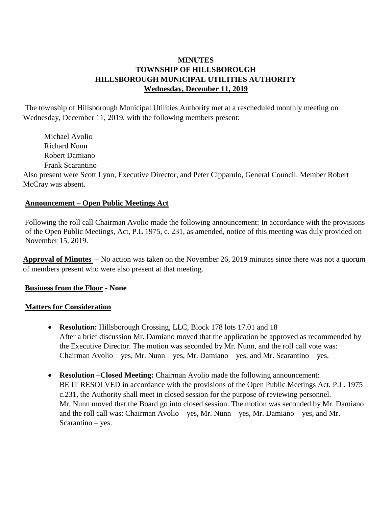## **MINUTES TOWNSHIP OF HILLSBOROUGH HILLSBOROUGH MUNICIPAL UTILITIES AUTHORITY Wednesday, December 11, 2019**

The township of Hillsborough Municipal Utilities Authority met at a rescheduled monthly meeting on Wednesday, December 11, 2019, with the following members present:

 Michael Avolio Richard Nunn Robert Damiano Frank Scarantino Also present were Scott Lynn, Executive Director, and Peter Cipparulo, General Council. Member Robert McCray was absent.

### **Announcement – Open Public Meetings Act**

Following the roll call Chairman Avolio made the following announcement: In accordance with the provisions of the Open Public Meetings, Act, P.L 1975, c. 231, as amended, notice of this meeting was duly provided on November 15, 2019.

**Approval of Minutes –** No action was taken on the November 26, 2019 minutes since there was not a quorum of members present who were also present at that meeting.

#### **Business from the Floor - None**

#### **Matters for Consideration**

- **Resolution:** Hillsborough Crossing, LLC, Block 178 lots 17.01 and 18 After a brief discussion Mr. Damiano moved that the application be approved as recommended by the Executive Director. The motion was seconded by Mr. Nunn, and the roll call vote was: Chairman Avolio – yes, Mr. Nunn – yes, Mr. Damiano – yes, and Mr. Scarantino – yes.
- **Resolution –Closed Meeting:** Chairman Avolio made the following announcement: BE IT RESOLVED in accordance with the provisions of the Open Public Meetings Act, P.L. 1975 c.231, the Authority shall meet in closed session for the purpose of reviewing personnel. Mr. Nunn moved that the Board go into closed session. The motion was seconded by Mr. Damiano and the roll call was: Chairman Avolio – yes, Mr. Nunn – yes, Mr. Damiano – yes, and Mr. Scarantino – yes.